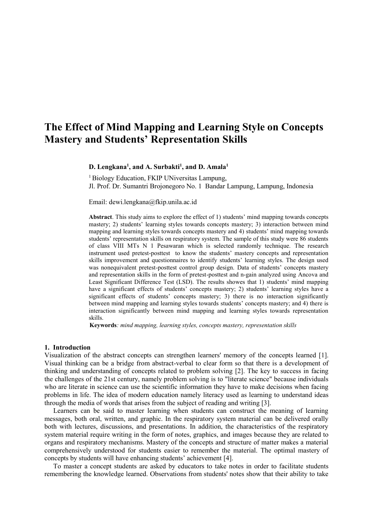# **The Effect of Mind Mapping and Learning Style on Concepts Mastery and Students' Representation Skills**

#### **D. Lengkana<sup>1</sup> , and A. Surbakti<sup>1</sup> , and D. Amala<sup>1</sup>**

<sup>1</sup> Biology Education, FKIP UNiversitas Lampung, Jl. Prof. Dr. Sumantri Brojonegoro No. 1 Bandar Lampung, Lampung, Indonesia

Email: dewi.lengkana@fkip.unila.ac.id

**Abstract**. This study aims to explore the effect of 1) students' mind mapping towards concepts mastery; 2) students' learning styles towards concepts mastery; 3) interaction between mind mapping and learning styles towards concepts mastery and 4) students' mind mapping towards students' representation skills on respiratory system. The sample of this study were 86 students of class VIII MTs N 1 Pesawaran which is selected randomly technique. The research instrument used pretest-posttest to know the students' mastery concepts and representation skills improvement and questionnaires to identify students' learning styles. The design used was nonequivalent pretest-posttest control group design. Data of students' concepts mastery and representation skills in the form of pretest-posttest and n-gain analyzed using Ancova and Least Significant Difference Test (LSD). The results showes that 1) students' mind mapping have a significant effects of students' concepts mastery; 2) students' learning styles have a significant effects of students' concepts mastery; 3) there is no interaction significantly between mind mapping and learning styles towards students' concepts mastery; and 4) there is interaction significantly between mind mapping and learning styles towards representation skills.

**Keywords***: mind mapping, learning styles, concepts mastery, representation skills*

#### **1. Introduction**

Visualization of the abstract concepts can strengthen learners' memory of the concepts learned [1]. Visual thinking can be a bridge from abstract-verbal to clear form so that there is a development of thinking and understanding of concepts related to problem solving [2]. The key to success in facing the challenges of the 21st century, namely problem solving is to "literate science" because individuals who are literate in science can use the scientific information they have to make decisions when facing problems in life. The idea of modern education namely literacy used as learning to understand ideas through the media of words that arises from the subject of reading and writing [3].

Learners can be said to master learning when students can construct the meaning of learning messages, both oral, written, and graphic. In the respiratory system material can be delivered orally both with lectures, discussions, and presentations. In addition, the characteristics of the respiratory system material require writing in the form of notes, graphics, and images because they are related to organs and respiratory mechanisms. Mastery of the concepts and structure of matter makes a material comprehensively understood for students easier to remember the material. The optimal mastery of concepts by students will have enhancing students' achievement [4].

To master a concept students are asked by educators to take notes in order to facilitate students remembering the knowledge learned. Observations from students' notes show that their ability to take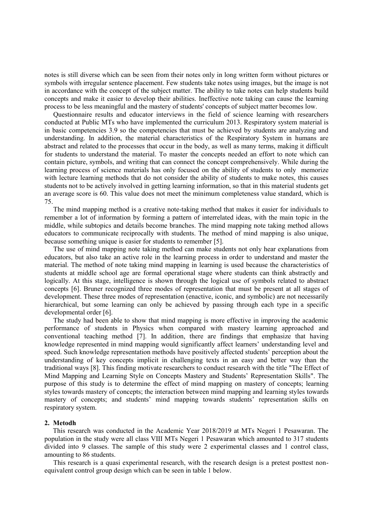notes is still diverse which can be seen from their notes only in long written form without pictures or symbols with irregular sentence placement. Few students take notes using images, but the image is not in accordance with the concept of the subject matter. The ability to take notes can help students build concepts and make it easier to develop their abilities. Ineffective note taking can cause the learning process to be less meaningful and the mastery of students' concepts of subject matter becomes low.

Questionnaire results and educator interviews in the field of science learning with researchers conducted at Public MTs who have implemented the curriculum 2013. Respiratory system material is in basic competencies 3.9 so the competencies that must be achieved by students are analyzing and understanding. In addition, the material characteristics of the Respiratory System in humans are abstract and related to the processes that occur in the body, as well as many terms, making it difficult for students to understand the material. To master the concepts needed an effort to note which can contain picture, symbols, and writing that can connect the concept comprehensively. While during the learning process of science materials has only focused on the ability of students to only memorize with lecture learning methods that do not consider the ability of students to make notes, this causes students not to be actively involved in getting learning information, so that in this material students get an average score is 60. This value does not meet the minimum completeness value standard, which is 75.

The mind mapping method is a creative note-taking method that makes it easier for individuals to remember a lot of information by forming a pattern of interrelated ideas, with the main topic in the middle, while subtopics and details become branches. The mind mapping note taking method allows educators to communicate reciprocally with students. The method of mind mapping is also unique, because something unique is easier for students to remember [5].

The use of mind mapping note taking method can make students not only hear explanations from educators, but also take an active role in the learning process in order to understand and master the material. The method of note taking mind mapping in learning is used because the characteristics of students at middle school age are formal operational stage where students can think abstractly and logically. At this stage, intelligence is shown through the logical use of symbols related to abstract concepts [6]. Bruner recognized three modes of representation that must be present at all stages of development. These three modes of representation (enactive, iconic, and symbolic) are not necessarily hierarchical, but some learning can only be achieved by passing through each type in a specific developmental order [6].

The study had been able to show that mind mapping is more effective in improving the academic performance of students in Physics when compared with mastery learning approached and conventional teaching method [7]. In addition, there are findings that emphasize that having knowledge represented in mind mapping would significantly affect learners' understanding level and speed. Such knowledge representation methods have positively affected students' perception about the understanding of key concepts implicit in challenging texts in an easy and better way than the traditional ways [8]. This finding motivate researchers to conduct research with the title "The Effect of Mind Mapping and Learning Style on Concepts Mastery and Students' Representation Skills". The purpose of this study is to determine the effect of mind mapping on mastery of concepts; learning styles towards mastery of concepts; the interaction between mind mapping and learning styles towards mastery of concepts; and students' mind mapping towards students' representation skills on respiratory system.

### **2. Metodh**

This research was conducted in the Academic Year 2018/2019 at MTs Negeri 1 Pesawaran. The population in the study were all class VIII MTs Negeri 1 Pesawaran which amounted to 317 students divided into 9 classes. The sample of this study were 2 experimental classes and 1 control class, amounting to 86 students.

This research is a quasi experimental research, with the research design is a pretest posttest nonequivalent control group design which can be seen in table 1 below.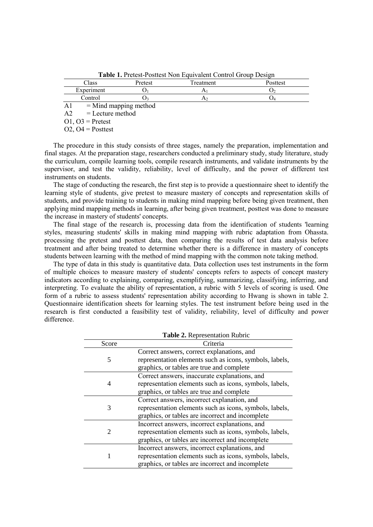|            |                         | <b>Table 1.</b> Pretest-Positiest Non Equivalent Control Group Design |          |
|------------|-------------------------|-----------------------------------------------------------------------|----------|
| Class      | Pretest                 | Treatment                                                             | Posttest |
| Experiment |                         |                                                                       |          |
| Control    |                         |                                                                       |          |
|            | $=$ Mind mapping method |                                                                       |          |

**Table 1.** Pretest-Posttest Non Equivalent Control Group Design

 $A2 =$  Lecture method

 $O1$ ,  $O3$  = Pretest

O2,  $O4 =$  Posttest

The procedure in this study consists of three stages, namely the preparation, implementation and final stages. At the preparation stage, researchers conducted a preliminary study, study literature, study the curriculum, compile learning tools, compile research instruments, and validate instruments by the supervisor, and test the validity, reliability, level of difficulty, and the power of different test instruments on students.

The stage of conducting the research, the first step is to provide a questionnaire sheet to identify the learning style of students, give pretest to measure mastery of concepts and representation skills of students, and provide training to students in making mind mapping before being given treatment, then applying mind mapping methods in learning, after being given treatment, posttest was done to measure the increase in mastery of students' concepts.

The final stage of the research is, processing data from the identification of students 'learning styles, measuring students' skills in making mind mapping with rubric adaptation from Ohassta. processing the pretest and posttest data, then comparing the results of test data analysis before treatment and after being treated to determine whether there is a difference in mastery of concepts students between learning with the method of mind mapping with the common note taking method.

The type of data in this study is quantitative data. Data collection uses test instruments in the form of multiple choices to measure mastery of students' concepts refers to aspects of concept mastery indicators according to explaining, comparing, exemplifying, summarizing, classifying, inferring, and interpreting. To evaluate the ability of representation, a rubric with 5 levels of scoring is used. One form of a rubric to assess students' representation ability according to Hwang is shown in table 2. Questionnaire identification sheets for learning styles. The test instrument before being used in the research is first conducted a feasibility test of validity, reliability, level of difficulty and power difference.

| Table 2. Representation Rubric |                                                         |  |  |  |  |
|--------------------------------|---------------------------------------------------------|--|--|--|--|
| Score                          | Criteria                                                |  |  |  |  |
|                                | Correct answers, correct explanations, and              |  |  |  |  |
| 5                              | representation elements such as icons, symbols, labels, |  |  |  |  |
|                                | graphics, or tables are true and complete               |  |  |  |  |
|                                | Correct answers, inaccurate explanations, and           |  |  |  |  |
| 4                              | representation elements such as icons, symbols, labels, |  |  |  |  |
|                                | graphics, or tables are true and complete               |  |  |  |  |
|                                | Correct answers, incorrect explanation, and             |  |  |  |  |
| 3                              | representation elements such as icons, symbols, labels, |  |  |  |  |
|                                | graphics, or tables are incorrect and incomplete        |  |  |  |  |
|                                | Incorrect answers, incorrect explanations, and          |  |  |  |  |
| $\mathfrak{D}$                 | representation elements such as icons, symbols, labels, |  |  |  |  |
|                                | graphics, or tables are incorrect and incomplete        |  |  |  |  |
|                                | Incorrect answers, incorrect explanations, and          |  |  |  |  |
| 1                              | representation elements such as icons, symbols, labels, |  |  |  |  |
|                                | graphics, or tables are incorrect and incomplete        |  |  |  |  |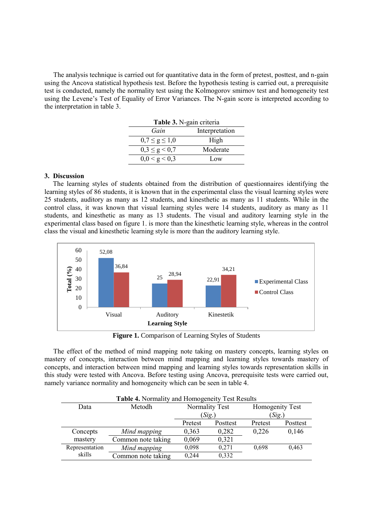The analysis technique is carried out for quantitative data in the form of pretest, posttest, and n-gain using the Ancova statistical hypothesis test. Before the hypothesis testing is carried out, a prerequisite test is conducted, namely the normality test using the Kolmogorov smirnov test and homogeneity test using the Levene's Test of Equality of Error Variances. The N-gain score is interpreted according to the interpretation in table 3.

| Table 3. N-gain criteria |          |  |  |  |  |
|--------------------------|----------|--|--|--|--|
| Interpretation<br>Gain   |          |  |  |  |  |
| $0,7 \le g \le 1,0$      | High     |  |  |  |  |
| $0,3 \leq g \leq 0,7$    | Moderate |  |  |  |  |
| 0,0 < g < 0,3            | Low      |  |  |  |  |

## **3. Discussion**

The learning styles of students obtained from the distribution of questionnaires identifying the learning styles of 86 students, it is known that in the experimental class the visual learning styles were 25 students, auditory as many as 12 students, and kinesthetic as many as 11 students. While in the control class, it was known that visual learning styles were 14 students, auditory as many as 11 students, and kinesthetic as many as 13 students. The visual and auditory learning style in the experimental class based on figure 1. is more than the kinesthetic learning style, whereas in the control class the visual and kinesthetic learning style is more than the auditory learning style.



**Figure 1.** Comparison of Learning Styles of Students

The effect of the method of mind mapping note taking on mastery concepts, learning styles on mastery of concepts, interaction between mind mapping and learning styles towards mastery of concepts, and interaction between mind mapping and learning styles towards representation skills in this study were tested with Ancova. Before testing using Ancova, prerequisite tests were carried out, namely variance normality and homogeneity which can be seen in table 4.

| Table 4. Normality and Homogeneity Test Results |                    |         |                |                 |          |  |  |
|-------------------------------------------------|--------------------|---------|----------------|-----------------|----------|--|--|
| Data                                            | Metodh             |         | Normality Test | Homogenity Test |          |  |  |
|                                                 |                    |         | (Sig.)         | (Sig.)          |          |  |  |
|                                                 |                    | Pretest | Posttest       | Pretest         | Posttest |  |  |
| Concepts                                        | Mind mapping       | 0,363   | 0,282          | 0.226           | 0,146    |  |  |
| mastery                                         | Common note taking | 0.069   | 0.321          |                 |          |  |  |
| Representation                                  | Mind mapping       | 0,098   | 0,271          | 0,698           | 0,463    |  |  |
| skills                                          | Common note taking | 0.244   | 0,332          |                 |          |  |  |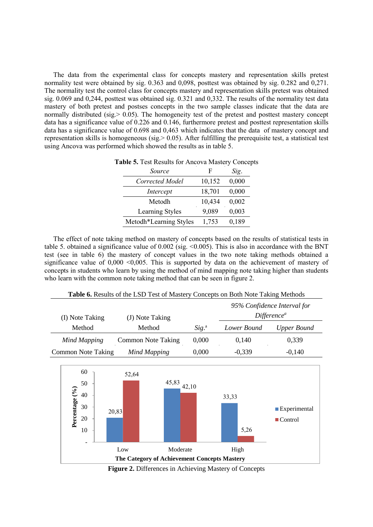The data from the experimental class for concepts mastery and representation skills pretest normality test were obtained by sig. 0.363 and 0,098, posttest was obtained by sig. 0.282 and 0,271. The normality test the control class for concepts mastery and representation skills pretest was obtained sig. 0.069 and 0,244, posttest was obtained sig. 0.321 and 0,332. The results of the normality test data mastery of both pretest and postses concepts in the two sample classes indicate that the data are normally distributed (sig.  $> 0.05$ ). The homogeneity test of the pretest and posttest mastery concept data has a significance value of 0.226 and 0.146, furthermore pretest and posttest representation skills data has a significance value of 0.698 and 0,463 which indicates that the data of mastery concept and representation skills is homogeneous (sig.> 0.05). After fulfilling the prerequisite test, a statistical test using Ancova was performed which showed the results as in table 5.

| Source                 | F      | Sig.  |
|------------------------|--------|-------|
| Corrected Model        | 10,152 | 0,000 |
| Intercept              | 18,701 | 0,000 |
| Metodh                 | 10,434 | 0,002 |
| Learning Styles        | 9,089  | 0,003 |
| Metodh*Learning Styles | 1,753  | 0,189 |

|  |  |  |  |  |  | Table 5. Test Results for Ancova Mastery Concepts |
|--|--|--|--|--|--|---------------------------------------------------|
|--|--|--|--|--|--|---------------------------------------------------|

The effect of note taking method on mastery of concepts based on the results of statistical tests in table 5. obtained a significance value of  $0.002$  (sig. <0.005). This is also in accordance with the BNT test (see in table 6) the mastery of concept values in the two note taking methods obtained a significance value of  $0,000 \le 0,005$ . This is supported by data on the achievement of mastery of concepts in students who learn by using the method of mind mapping note taking higher than students who learn with the common note taking method that can be seen in figure 2.

**Table 6.** Results of the LSD Test of Mastery Concepts on Both Note Taking Methods

| (I) Note Taking    | (J) Note Taking           |         |             | 95% Confidence Interval for<br>Difference <sup>a</sup> |
|--------------------|---------------------------|---------|-------------|--------------------------------------------------------|
| Method             | Method                    | $Sig^a$ | Lower Bound | <b>Upper Bound</b>                                     |
| Mind Mapping       | <b>Common Note Taking</b> | 0,000   | 0,140       | 0,339                                                  |
| Common Note Taking | Mind Mapping              | 0,000   | $-0,339$    | $-0,140$                                               |



**Figure 2.** Differences in Achieving Mastery of Concepts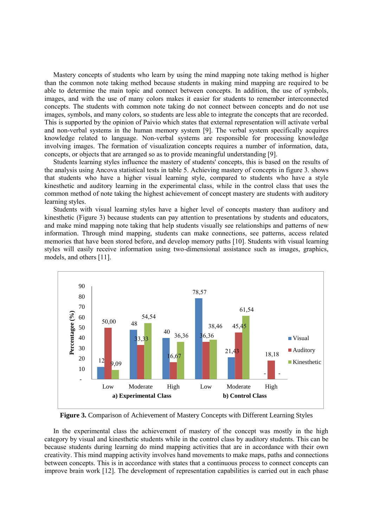Mastery concepts of students who learn by using the mind mapping note taking method is higher than the common note taking method because students in making mind mapping are required to be able to determine the main topic and connect between concepts. In addition, the use of symbols, images, and with the use of many colors makes it easier for students to remember interconnected concepts. The students with common note taking do not connect between concepts and do not use images, symbols, and many colors, so students are less able to integrate the concepts that are recorded. This is supported by the opinion of Paivio which states that external representation will activate verbal and non-verbal systems in the human memory system [9]. The verbal system specifically acquires knowledge related to language. Non-verbal systems are responsible for processing knowledge involving images. The formation of visualization concepts requires a number of information, data, concepts, or objects that are arranged so as to provide meaningful understanding [9].

Students learning styles influence the mastery of students' concepts, this is based on the results of the analysis using Ancova statistical tests in table 5. Achieving mastery of concepts in figure 3. shows that students who have a higher visual learning style, compared to students who have a style kinesthetic and auditory learning in the experimental class, while in the control class that uses the common method of note taking the highest achievement of concept mastery are students with auditory learning styles.

Students with visual learning styles have a higher level of concepts mastery than auditory and kinesthetic (Figure 3) because students can pay attention to presentations by students and educators, and make mind mapping note taking that help students visually see relationships and patterns of new information. Through mind mapping, students can make connections, see patterns, access related memories that have been stored before, and develop memory paths [10]. Students with visual learning styles will easily receive information using two-dimensional assistance such as images, graphics, models, and others [11].



**Figure 3.** Comparison of Achievement of Mastery Concepts with Different Learning Styles

In the experimental class the achievement of mastery of the concept was mostly in the high category by visual and kinesthetic students while in the control class by auditory students. This can be because students during learning do mind mapping activities that are in accordance with their own creativity. This mind mapping activity involves hand movements to make maps, paths and connections between concepts. This is in accordance with states that a continuous process to connect concepts can improve brain work [12]. The development of representation capabilities is carried out in each phase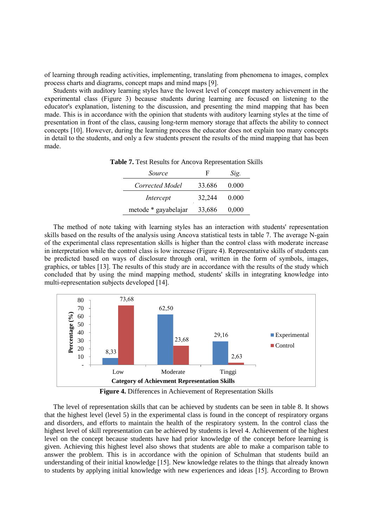of learning through reading activities, implementing, translating from phenomena to images, complex process charts and diagrams, concept maps and mind maps [9].

Students with auditory learning styles have the lowest level of concept mastery achievement in the experimental class (Figure 3) because students during learning are focused on listening to the educator's explanation, listening to the discussion, and presenting the mind mapping that has been made. This is in accordance with the opinion that students with auditory learning styles at the time of presentation in front of the class, causing long-term memory storage that affects the ability to connect concepts [10]. However, during the learning process the educator does not explain too many concepts in detail to the students, and only a few students present the results of the mind mapping that has been made.

**Table 7.** Test Results for Ancova Representation Skills

| Source               | F      | Sig.  |
|----------------------|--------|-------|
| Corrected Model      | 33.686 | 0.000 |
| Intercept            | 32,244 | 0.000 |
| metode * gayabelajar | 33,686 | 0,000 |

The method of note taking with learning styles has an interaction with students' representation skills based on the results of the analysis using Ancova statistical tests in table 7. The average N-gain of the experimental class representation skills is higher than the control class with moderate increase in interpretation while the control class is low increase (Figure 4). Representative skills of students can be predicted based on ways of disclosure through oral, written in the form of symbols, images, graphics, or tables [13]. The results of this study are in accordance with the results of the study which concluded that by using the mind mapping method, students' skills in integrating knowledge into multi-representation subjects developed [14].



**Figure 4.** Differences in Achievement of Representation Skills

The level of representation skills that can be achieved by students can be seen in table 8. It shows that the highest level (level 5) in the experimental class is found in the concept of respiratory organs and disorders, and efforts to maintain the health of the respiratory system. In the control class the highest level of skill representation can be achieved by students is level 4. Achievement of the highest level on the concept because students have had prior knowledge of the concept before learning is given. Achieving this highest level also shows that students are able to make a comparison table to answer the problem. This is in accordance with the opinion of Schulman that students build an understanding of their initial knowledge [15]. New knowledge relates to the things that already known to students by applying initial knowledge with new experiences and ideas [15]. According to Brown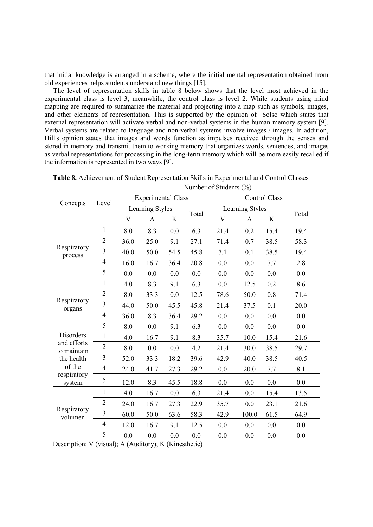that initial knowledge is arranged in a scheme, where the initial mental representation obtained from old experiences helps students understand new things [15].

The level of representation skills in table 8 below shows that the level most achieved in the experimental class is level 3, meanwhile, the control class is level 2. While students using mind mapping are required to summarize the material and projecting into a map such as symbols, images, and other elements of representation. This is supported by the opinion of Solso which states that external representation will activate verbal and non-verbal systems in the human memory system [9]. Verbal systems are related to language and non-verbal systems involve images / images. In addition, Hill's opinion states that images and words function as impulses received through the senses and stored in memory and transmit them to working memory that organizes words, sentences, and images as verbal representations for processing in the long-term memory which will be more easily recalled if the information is represented in two ways [9].

**Table 8.** Achievement of Student Representation Skills in Experimental and Control Classes

|                            |                         | Number of Students (%)    |                                     |                |                      |                 |       |      |       |
|----------------------------|-------------------------|---------------------------|-------------------------------------|----------------|----------------------|-----------------|-------|------|-------|
| Concepts                   |                         | <b>Experimental Class</b> |                                     |                | <b>Control Class</b> |                 |       |      |       |
|                            | Level                   | Learning Styles           |                                     |                |                      | Learning Styles |       |      |       |
|                            |                         | V                         | A                                   | K              | Total                | V               | A     | K    | Total |
|                            | 1                       | 8.0                       | 8.3                                 | 0.0            | 6.3                  | 21.4            | 0.2   | 15.4 | 19.4  |
|                            | $\overline{2}$          | 36.0                      | 25.0                                | 9.1            | 27.1                 | 71.4            | 0.7   | 38.5 | 58.3  |
| Respiratory<br>process     | 3                       | 40.0                      | 50.0                                | 54.5           | 45.8                 | 7.1             | 0.1   | 38.5 | 19.4  |
|                            | 4                       | 16.0                      | 16.7                                | 36.4           | 20.8                 | 0.0             | 0.0   | 7.7  | 2.8   |
|                            | 5                       | 0.0                       | 0.0                                 | 0.0            | 0.0                  | 0.0             | 0.0   | 0.0  | 0.0   |
|                            | $\mathbf{1}$            | 4.0                       | 8.3                                 | 9.1            | 6.3                  | 0.0             | 12.5  | 0.2  | 8.6   |
|                            | $\overline{2}$          | 8.0                       | 33.3                                | 0.0            | 12.5                 | 78.6            | 50.0  | 0.8  | 71.4  |
| Respiratory<br>organs      | 3                       | 44.0                      | 50.0                                | 45.5           | 45.8                 | 21.4            | 37.5  | 0.1  | 20.0  |
|                            | $\overline{4}$          | 36.0                      | 8.3                                 | 36.4           | 29.2                 | 0.0             | 0.0   | 0.0  | 0.0   |
|                            | 5                       | 8.0                       | 0.0                                 | 9.1            | 6.3                  | 0.0             | 0.0   | 0.0  | 0.0   |
| Disorders                  | $\mathbf{1}$            | 4.0                       | 16.7                                | 9.1            | 8.3                  | 35.7            | 10.0  | 15.4 | 21.6  |
| and efforts<br>to maintain | $\overline{2}$          | 8.0                       | 0.0                                 | 0.0            | 4.2                  | 21.4            | 30.0  | 38.5 | 29.7  |
| the health                 | 3                       | 52.0                      | 33.3                                | 18.2           | 39.6                 | 42.9            | 40.0  | 38.5 | 40.5  |
| of the                     | $\overline{\mathbf{4}}$ | 24.0                      | 41.7                                | 27.3           | 29.2                 | 0.0             | 20.0  | 7.7  | 8.1   |
| respiratory<br>system      | 5                       | 12.0                      | 8.3                                 | 45.5           | 18.8                 | 0.0             | 0.0   | 0.0  | 0.0   |
|                            | 1                       | 4.0                       | 16.7                                | 0.0            | 6.3                  | 21.4            | 0.0   | 15.4 | 13.5  |
| Respiratory<br>volumen     | $\overline{2}$          | 24.0                      | 16.7                                | 27.3           | 22.9                 | 35.7            | 0.0   | 23.1 | 21.6  |
|                            | $\overline{3}$          | 60.0                      | 50.0                                | 63.6           | 58.3                 | 42.9            | 100.0 | 61.5 | 64.9  |
|                            | $\overline{4}$          | 12.0                      | 16.7                                | 9.1            | 12.5                 | 0.0             | 0.0   | 0.0  | 0.0   |
| $\cdot$<br>$\cdot$         | 5<br>$\mathbf{1}$       | 0.0                       | 0.0<br>$\overline{\mathbf{r}}$<br>T | 0.0<br>$\pi r$ | 0.0                  | 0.0             | 0.0   | 0.0  | 0.0   |

Description: V (visual); A (Auditory); K (Kinesthetic)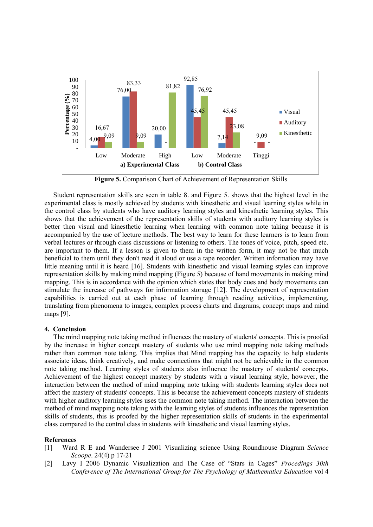

**Figure 5.** Comparison Chart of Achievement of Representation Skills

Student representation skills are seen in table 8. and Figure 5. shows that the highest level in the experimental class is mostly achieved by students with kinesthetic and visual learning styles while in the control class by students who have auditory learning styles and kinesthetic learning styles. This shows that the achievement of the representation skills of students with auditory learning styles is better then visual and kinesthetic learning when learning with common note taking because it is accompanied by the use of lecture methods. The best way to learn for these learners is to learn from verbal lectures or through class discussions or listening to others. The tones of voice, pitch, speed etc. are important to them. If a lesson is given to them in the written form, it may not be that much beneficial to them until they don't read it aloud or use a tape recorder. Written information may have little meaning until it is heard [16]. Students with kinesthetic and visual learning styles can improve representation skills by making mind mapping (Figure 5) because of hand movements in making mind mapping. This is in accordance with the opinion which states that body cues and body movements can stimulate the increase of pathways for information storage [12]. The development of representation capabilities is carried out at each phase of learning through reading activities, implementing, translating from phenomena to images, complex process charts and diagrams, concept maps and mind maps [9].

#### **4. Conclusion**

The mind mapping note taking method influences the mastery of students' concepts. This is proofed by the increase in higher concept mastery of students who use mind mapping note taking methods rather than common note taking. This implies that Mind mapping has the capacity to help students associate ideas, think creatively, and make connections that might not be achievable in the common note taking method. Learning styles of students also influence the mastery of students' concepts. Achievement of the highest concept mastery by students with a visual learning style, however, the interaction between the method of mind mapping note taking with students learning styles does not affect the mastery of students' concepts. This is because the achievement concepts mastery of students with higher auditory learning styles uses the common note taking method. The interaction between the method of mind mapping note taking with the learning styles of students influences the representation skills of students, this is proofed by the higher representation skills of students in the experimental class compared to the control class in students with kinesthetic and visual learning styles.

### **References**

- [1] Ward R E and Wandersee J 2001 Visualizing science Using Roundhouse Diagram *Science Scoope*. 24(4) p 17-21
- [2] Lavy I 2006 Dynamic Visualization and The Case of "Stars in Cages" *Procedings 30th Conference of The International Group for The Psychology of Mathematics Education* vol 4